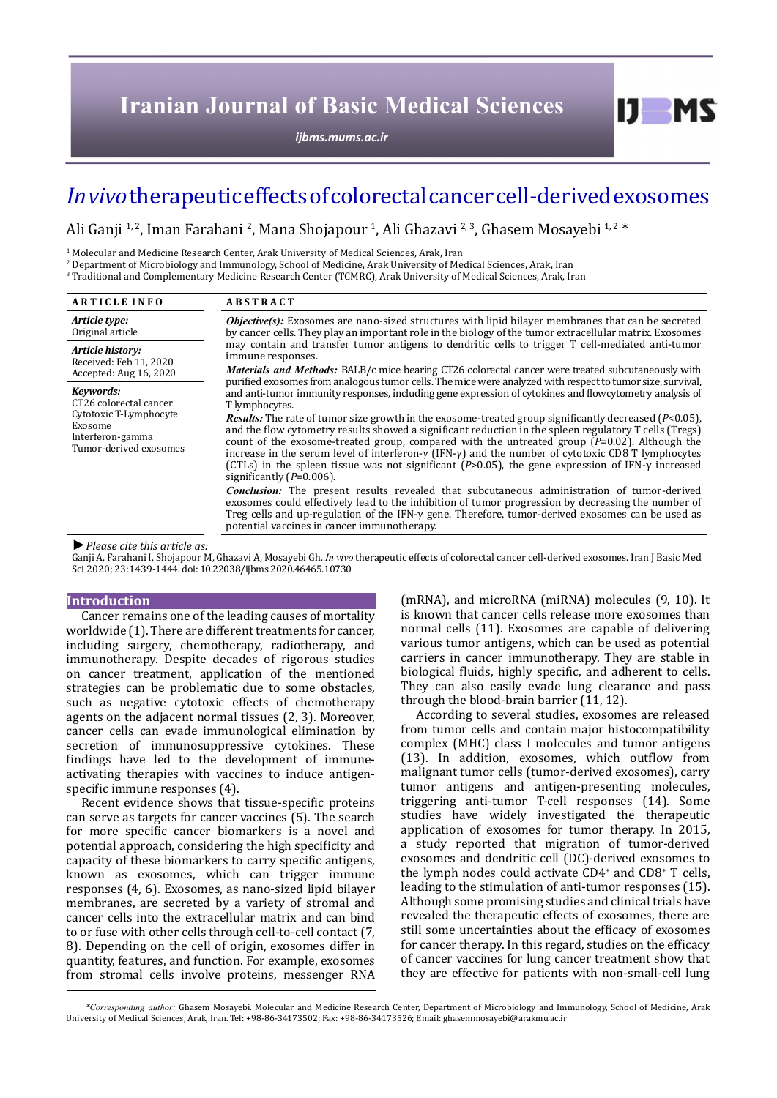# **Iranian Journal of Basic Medical Sciences**

*[ijbms.mums.ac.ir](http://ijbms.mums.ac.ir)*

# *In vivo* therapeutic effects of colorectal cancer cell-derived exosomes

Ali Ganji 1,2, Iman Farahani 2, Mana Shojapour 1, Ali Ghazavi 2,3, Ghasem Mosayebi 1,2 \*

<sup>1</sup> Molecular and Medicine Research Center, Arak University of Medical Sciences, Arak, Iran

2 Department of Microbiology and Immunology, School of Medicine, Arak University of Medical Sciences, Arak, Iran

3 Traditional and Complementary Medicine Research Center (TCMRC), Arak University of Medical Sciences, Arak, Iran

| <b>ARTICLE INFO</b>                                                                                                    | <b>ABSTRACT</b>                                                                                                                                                                                                                                                                                                                                                                                                                                                                                                                                                                                     |  |
|------------------------------------------------------------------------------------------------------------------------|-----------------------------------------------------------------------------------------------------------------------------------------------------------------------------------------------------------------------------------------------------------------------------------------------------------------------------------------------------------------------------------------------------------------------------------------------------------------------------------------------------------------------------------------------------------------------------------------------------|--|
| Article type:<br>Original article                                                                                      | <b>Objective(s):</b> Exosomes are nano-sized structures with lipid bilayer membranes that can be secreted<br>by cancer cells. They play an important role in the biology of the tumor extracellular matrix. Exosomes                                                                                                                                                                                                                                                                                                                                                                                |  |
| Article history:<br>Received: Feb 11, 2020<br>Accepted: Aug 16, 2020                                                   | may contain and transfer tumor antigens to dendritic cells to trigger T cell-mediated anti-tumor<br>immune responses.<br><i>Materials and Methods: BALB/c mice bearing CT26 colorectal cancer were treated subcutaneously with</i><br>purified exosomes from analogous tumor cells. The mice were analyzed with respect to tumor size, survival,                                                                                                                                                                                                                                                    |  |
| Kevwords:<br>CT26 colorectal cancer<br>Cytotoxic T-Lymphocyte<br>Exosome<br>Interferon-gamma<br>Tumor-derived exosomes | and anti-tumor immunity responses, including gene expression of cytokines and flowcytometry analysis of<br>T lymphocytes.                                                                                                                                                                                                                                                                                                                                                                                                                                                                           |  |
|                                                                                                                        | <b>Results:</b> The rate of tumor size growth in the exosome-treated group significantly decreased $(P<0.05)$ ,<br>and the flow cytometry results showed a significant reduction in the spleen regulatory T cells (Tregs)<br>count of the exosome-treated group, compared with the untreated group $(P=0.02)$ . Although the<br>increase in the serum level of interferon- $\gamma$ (IFN- $\gamma$ ) and the number of cytotoxic CD8 T lymphocytes<br>(CTLs) in the spleen tissue was not significant ( $P > 0.05$ ), the gene expression of IFN- $\gamma$ increased<br>significantly $(P=0.006)$ . |  |
|                                                                                                                        | <b>Conclusion:</b> The present results revealed that subcutaneous administration of tumor-derived<br>exosomes could effectively lead to the inhibition of tumor progression by decreasing the number of<br>Treg cells and up-regulation of the IFN- $\gamma$ gene. Therefore, tumor-derived exosomes can be used as<br>potential vaccines in cancer immunotherapy.                                                                                                                                                                                                                                  |  |
| $\blacktriangleright$ Dlogge city this article as                                                                      |                                                                                                                                                                                                                                                                                                                                                                                                                                                                                                                                                                                                     |  |

*►Please cite this article as:*

Ganji A, Farahani I, Shojapour M, Ghazavi A, Mosayebi Gh. *In vivo* therapeutic effects of colorectal cancer cell-derived exosomes. Iran J Basic Med Sci 2020; 23:1439-1444. doi: 10.22038/ijbms.2020.46465.10730

#### **Introduction**

Cancer remains one of the leading causes of mortality worldwide (1). There are different treatments for cancer, including surgery, chemotherapy, radiotherapy, and immunotherapy. Despite decades of rigorous studies on cancer treatment, application of the mentioned strategies can be problematic due to some obstacles, such as negative cytotoxic effects of chemotherapy agents on the adjacent normal tissues (2, 3). Moreover, cancer cells can evade immunological elimination by secretion of immunosuppressive cytokines. These findings have led to the development of immuneactivating therapies with vaccines to induce antigenspecific immune responses (4).

Recent evidence shows that tissue-specific proteins can serve as targets for cancer vaccines (5). The search for more specific cancer biomarkers is a novel and potential approach, considering the high specificity and capacity of these biomarkers to carry specific antigens, known as exosomes, which can trigger immune responses (4, 6). Exosomes, as nano-sized lipid bilayer membranes, are secreted by a variety of stromal and cancer cells into the extracellular matrix and can bind to or fuse with other cells through cell-to-cell contact (7, 8). Depending on the cell of origin, exosomes differ in quantity, features, and function. For example, exosomes from stromal cells involve proteins, messenger RNA

(mRNA), and microRNA (miRNA) molecules (9, 10). It is known that cancer cells release more exosomes than normal cells (11). Exosomes are capable of delivering various tumor antigens, which can be used as potential carriers in cancer immunotherapy. They are stable in biological fluids, highly specific, and adherent to cells. They can also easily evade lung clearance and pass through the blood-brain barrier (11, 12).

 $I$   $I$   $M$   $S$ 

According to several studies, exosomes are released from tumor cells and contain major histocompatibility complex (MHC) class I molecules and tumor antigens (13). In addition, exosomes, which outflow from malignant tumor cells (tumor-derived exosomes), carry tumor antigens and antigen-presenting molecules, triggering anti-tumor T-cell responses (14). Some studies have widely investigated the therapeutic application of exosomes for tumor therapy. In 2015, a study reported that migration of tumor-derived exosomes and dendritic cell (DC)-derived exosomes to the lymph nodes could activate CD4+ and CD8+ T cells, leading to the stimulation of anti-tumor responses (15). Although some promising studies and clinical trials have revealed the therapeutic effects of exosomes, there are still some uncertainties about the efficacy of exosomes for cancer therapy. In this regard, studies on the efficacy of cancer vaccines for lung cancer treatment show that they are effective for patients with non-small-cell lung

 *\*Corresponding author:* Ghasem Mosayebi. Molecular and Medicine Research Center, Department of Microbiology and Immunology, School of Medicine, Arak University of Medical Sciences, Arak, Iran. Tel: +98-86-34173502; Fax: +98-86-34173526; Email: ghasemmosayebi@arakmu.ac.ir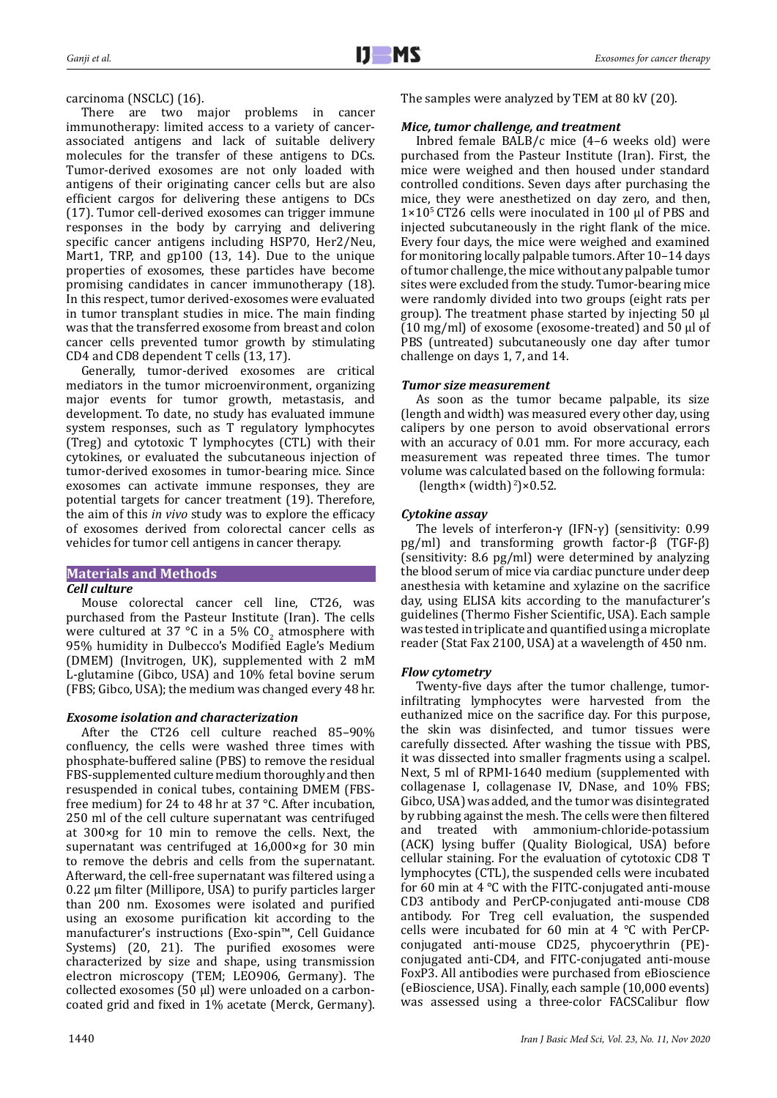## carcinoma (NSCLC) (16).

There are two major problems in cancer immunotherapy: limited access to a variety of cancerassociated antigens and lack of suitable delivery molecules for the transfer of these antigens to DCs. Tumor-derived exosomes are not only loaded with antigens of their originating cancer cells but are also efficient cargos for delivering these antigens to DCs (17). Tumor cell-derived exosomes can trigger immune responses in the body by carrying and delivering specific cancer antigens including HSP70, Her2/Neu, Mart1, TRP, and gp100 (13, 14). Due to the unique properties of exosomes, these particles have become promising candidates in cancer immunotherapy (18). In this respect, tumor derived-exosomes were evaluated in tumor transplant studies in mice. The main finding was that the transferred exosome from breast and colon cancer cells prevented tumor growth by stimulating CD4 and CD8 dependent T cells (13, 17).

Generally, tumor-derived exosomes are critical mediators in the tumor microenvironment, organizing major events for tumor growth, metastasis, and development. To date, no study has evaluated immune system responses, such as T regulatory lymphocytes (Treg) and cytotoxic T lymphocytes (CTL) with their cytokines, or evaluated the subcutaneous injection of tumor-derived exosomes in tumor-bearing mice. Since exosomes can activate immune responses, they are potential targets for cancer treatment (19). Therefore, the aim of this *in vivo* study was to explore the efficacy of exosomes derived from colorectal cancer cells as vehicles for tumor cell antigens in cancer therapy.

## **Materials and Methods** *Cell culture*

Mouse colorectal cancer cell line, CT26, was purchased from the Pasteur Institute (Iran). The cells were cultured at 37 °C in a 5% CO<sub>2</sub> atmosphere with  $\frac{1}{2}$ 95% humidity in Dulbecco's Modified Eagle's Medium (DMEM) (Invitrogen, UK), supplemented with 2 mM L-glutamine (Gibco, USA) and 10% fetal bovine serum (FBS; Gibco, USA); the medium was changed every 48 hr.

# *Exosome isolation and characterization*

After the CT26 cell culture reached 85–90% confluency, the cells were washed three times with phosphate-buffered saline (PBS) to remove the residual FBS-supplemented culture medium thoroughly and then resuspended in conical tubes, containing DMEM (FBSfree medium) for 24 to 48 hr at 37 °C. After incubation, 250 ml of the cell culture supernatant was centrifuged at 300×g for 10 min to remove the cells. Next, the supernatant was centrifuged at 16,000×g for 30 min to remove the debris and cells from the supernatant. Afterward, the cell-free supernatant was filtered using a 0.22 μm filter (Millipore, USA) to purify particles larger than 200 nm. Exosomes were isolated and purified using an exosome purification kit according to the manufacturer's instructions (Exo-spin™, Cell Guidance Systems) (20, 21). The purified exosomes were characterized by size and shape, using transmission electron microscopy (TEM; LEO906, Germany). The collected exosomes (50 µl) were unloaded on a carboncoated grid and fixed in 1% acetate (Merck, Germany). The samples were analyzed by TEM at 80 kV (20).

## *Mice, tumor challenge, and treatment*

Inbred female BALB/c mice (4–6 weeks old) were purchased from the Pasteur Institute (Iran). First, the mice were weighed and then housed under standard controlled conditions. Seven days after purchasing the mice, they were anesthetized on day zero, and then, 1×105 CT26 cells were inoculated in 100 µl of PBS and injected subcutaneously in the right flank of the mice. Every four days, the mice were weighed and examined for monitoring locally palpable tumors. After 10–14 days of tumor challenge, the mice without any palpable tumor sites were excluded from the study. Tumor-bearing mice were randomly divided into two groups (eight rats per group). The treatment phase started by injecting 50 µl (10 mg/ml) of exosome (exosome-treated) and 50 µl of PBS (untreated) subcutaneously one day after tumor challenge on days 1, 7, and 14.

# *Tumor size measurement*

As soon as the tumor became palpable, its size (length and width) was measured every other day, using calipers by one person to avoid observational errors with an accuracy of 0.01 mm. For more accuracy, each measurement was repeated three times. The tumor volume was calculated based on the following formula:

(length $\times$  (width)<sup>2</sup>) $\times$ 0.52.

# *Cytokine assay*

The levels of interferon-γ (IFN-γ) (sensitivity: 0.99 pg/ml) and transforming growth factor-β (TGF-β) (sensitivity: 8.6 pg/ml) were determined by analyzing the blood serum of mice via cardiac puncture under deep anesthesia with ketamine and xylazine on the sacrifice day, using ELISA kits according to the manufacturer's guidelines (Thermo Fisher Scientific, USA). Each sample was tested in triplicate and quantified using a microplate reader (Stat Fax 2100, USA) at a wavelength of 450 nm.

## *Flow cytometry*

Twenty-five days after the tumor challenge, tumorinfiltrating lymphocytes were harvested from the euthanized mice on the sacrifice day. For this purpose, the skin was disinfected, and tumor tissues were carefully dissected. After washing the tissue with PBS, it was dissected into smaller fragments using a scalpel. Next, 5 ml of RPMI-1640 medium (supplemented with collagenase I, collagenase IV, DNase, and 10% FBS; Gibco, USA) was added, and the tumor was disintegrated by rubbing against the mesh. The cells were then filtered<br>and treated with ammonium-chloride-potassium with ammonium-chloride-potassium (ACK) lysing buffer (Quality Biological, USA) before cellular staining. For the evaluation of cytotoxic CD8 T lymphocytes (CTL), the suspended cells were incubated for 60 min at 4 °C with the FITC-conjugated anti-mouse CD3 antibody and PerCP-conjugated anti-mouse CD8 antibody. For Treg cell evaluation, the suspended cells were incubated for 60 min at 4 °C with PerCPconjugated anti-mouse CD25, phycoerythrin (PE) conjugated anti-CD4, and FITC-conjugated anti-mouse FoxP3. All antibodies were purchased from eBioscience (eBioscience, USA). Finally, each sample (10,000 events) was assessed using a three-color FACSCalibur flow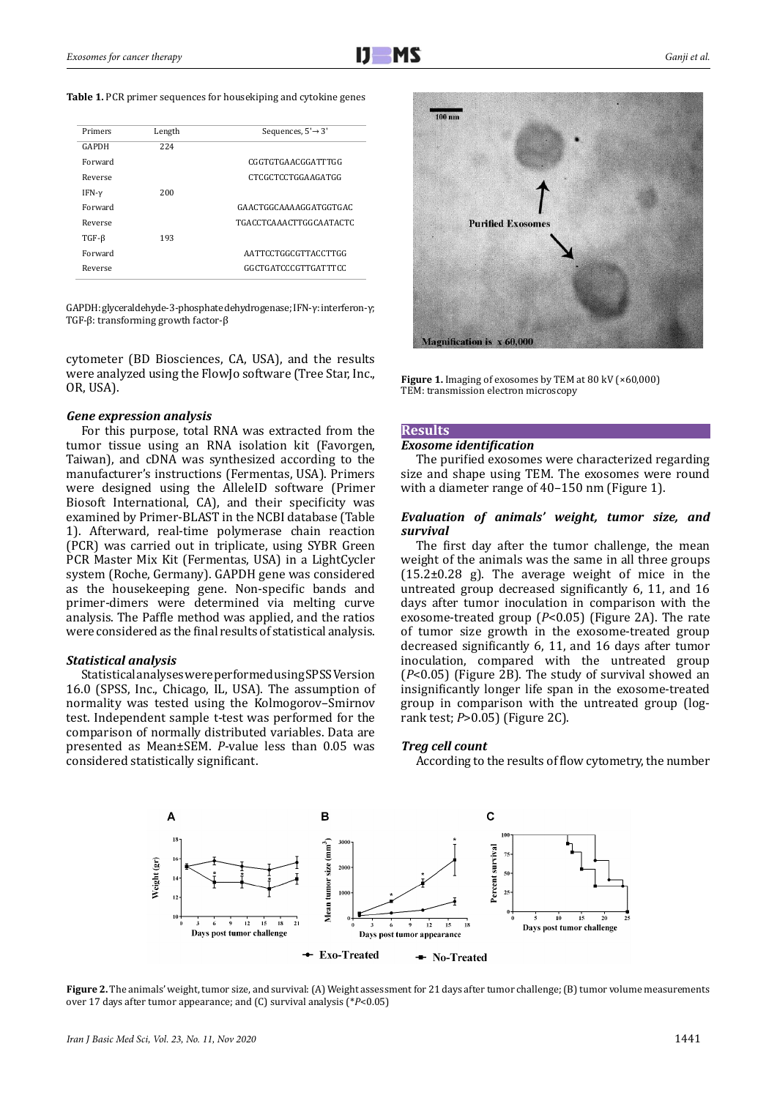#### **Table 1.** PCR primer sequences for housekiping and cytokine genes

| Primers      | Length | Sequences, $5' \rightarrow 3'$ |
|--------------|--------|--------------------------------|
| <b>GAPDH</b> | 224    |                                |
| Forward      |        | CGGTGTGAACGGATTTGG             |
| Reverse      |        | CTCGCTCCTGGAAGATGG             |
| IFN- $\nu$   | 200    |                                |
| Forward      |        | GAACTGGCAAAAGGATGGTGAC         |
| Reverse      |        | TGACCTCAAACTTGGCAATACTC        |
| $TGF-\beta$  | 193    |                                |
| Forward      |        | AATTCCTGGCGTTACCTTGG           |
| Reverse      |        | GGCTGATCCCGTTGATTTCC           |

GAPDH: glyceraldehyde-3-phosphate dehydrogenase; IFN-γ: interferon-γ; TGF-β: transforming growth factor-β

cytometer (BD Biosciences, CA, USA), and the results were analyzed using the FlowJo software (Tree Star, Inc., OR, USA).

#### *Gene expression analysis*

For this purpose, total RNA was extracted from the tumor tissue using an RNA isolation kit (Favorgen, Taiwan), and cDNA was synthesized according to the manufacturer's instructions (Fermentas, USA). Primers were designed using the AlleleID software (Primer Biosoft International, CA), and their specificity was examined by Primer-BLAST in the NCBI database (Table 1). Afterward, real-time polymerase chain reaction (PCR) was carried out in triplicate, using SYBR Green PCR Master Mix Kit (Fermentas, USA) in a LightCycler system (Roche, Germany). GAPDH gene was considered as the housekeeping gene. Non-specific bands and primer-dimers were determined via melting curve analysis. The Paffle method was applied, and the ratios were considered as the final results of statistical analysis.

## *Statistical analysis*

Statistical analyses were performed using SPSS Version 16.0 (SPSS, Inc., Chicago, IL, USA). The assumption of normality was tested using the Kolmogorov–Smirnov test. Independent sample t-test was performed for the comparison of normally distributed variables. Data are presented as Mean±SEM. *P*-value less than 0.05 was considered statistically significant.



Figure 1. Imaging of exosomes by TEM at 80 kV (×60,000) TEM: transmission electron microscopy

### **Results**

#### *Exosome identification*

The purified exosomes were characterized regarding size and shape using TEM. The exosomes were round with a diameter range of 40–150 nm (Figure 1).

## *Evaluation of animals' weight, tumor size, and survival*

The first day after the tumor challenge, the mean weight of the animals was the same in all three groups  $(15.2\pm0.28)$  g). The average weight of mice in the untreated group decreased significantly 6, 11, and 16 days after tumor inoculation in comparison with the exosome-treated group (*P*<0.05) (Figure 2A). The rate of tumor size growth in the exosome-treated group decreased significantly 6, 11, and 16 days after tumor inoculation, compared with the untreated group (*P*<0.05) (Figure 2B). The study of survival showed an insignificantly longer life span in the exosome-treated group in comparison with the untreated group (logrank test; *P*>0.05) (Figure 2C).

### *Treg cell count*

According to the results of flow cytometry, the number



**Figure 2.** The animals' weight, tumor size, and survival: (A) Weight assessment for 21 days after tumor challenge; (B) tumor volume measurements over 17 days after tumor appearance; and (C) survival analysis (\**P*<0.05)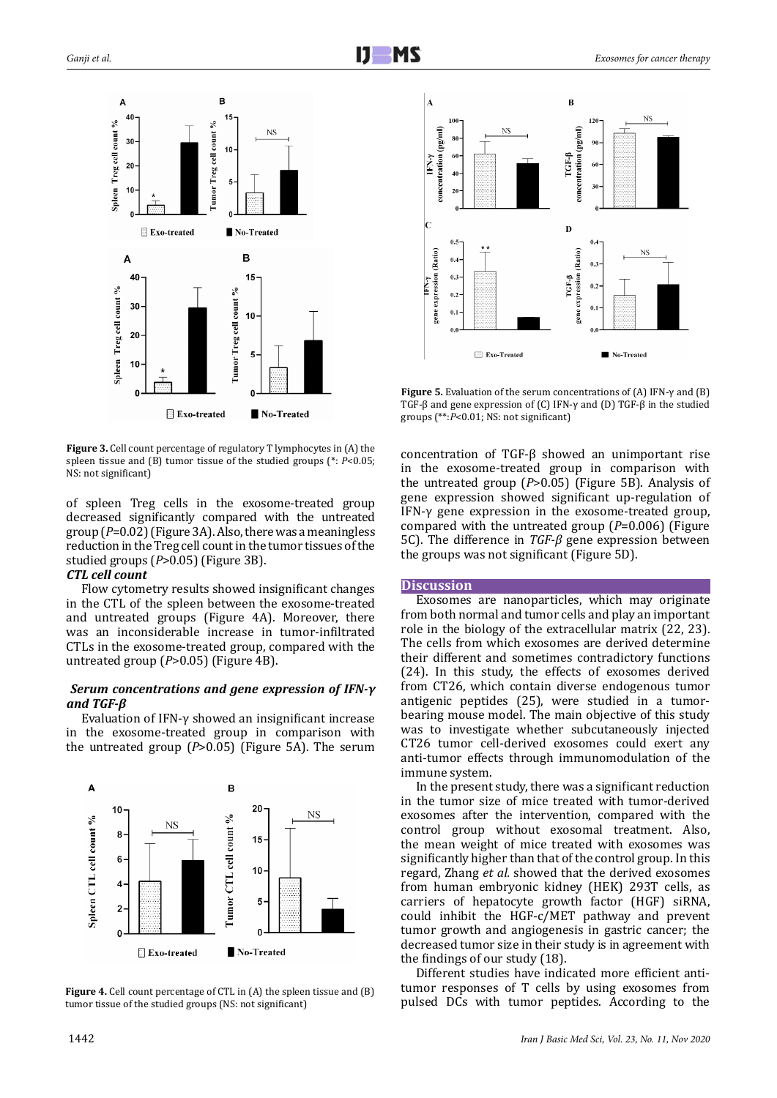

**Figure 3.** Cell count percentage of regulatory T lymphocytes in (A) the spleen tissue and (B) tumor tissue of the studied groups (\*: *P*<0.05; NS: not significant)

of spleen Treg cells in the exosome-treated group decreased significantly compared with the untreated group (*P*=0.02) (Figure 3A). Also, there was a meaningless reduction in the Treg cell count in the tumor tissues of the studied groups (*P*>0.05) (Figure 3B).

## *CTL cell count*

Flow cytometry results showed insignificant changes in the CTL of the spleen between the exosome-treated and untreated groups (Figure 4A). Moreover, there was an inconsiderable increase in tumor-infiltrated CTLs in the exosome-treated group, compared with the untreated group (*P*>0.05) (Figure 4B).

## *Serum concentrations and gene expression of IFN-γ and TGF-β*

Evaluation of IFN-γ showed an insignificant increase in the exosome-treated group in comparison with the untreated group (*P*>0.05) (Figure 5A). The serum



Figure 4. Cell count percentage of CTL in (A) the spleen tissue and (B) tumor tissue of the studied groups (NS: not significant)



**Figure 5.** Evaluation of the serum concentrations of (A) IFN-γ and (B) TGF-β and gene expression of (C) IFN-γ and (D) TGF-β in the studied groups (\*\*:*P*<0.01; NS: not significant)

concentration of TGF-β showed an unimportant rise in the exosome-treated group in comparison with the untreated group (*P*>0.05) (Figure 5B). Analysis of gene expression showed significant up-regulation of IFN-γ gene expression in the exosome-treated group, compared with the untreated group (*P*=0.006) (Figure 5C). The difference in *TGF-β* gene expression between the groups was not significant (Figure 5D).

### **Discussion**

Exosomes are nanoparticles, which may originate from both normal and tumor cells and play an important role in the biology of the extracellular matrix (22, 23). The cells from which exosomes are derived determine their different and sometimes contradictory functions (24). In this study, the effects of exosomes derived from CT26, which contain diverse endogenous tumor antigenic peptides (25), were studied in a tumorbearing mouse model. The main objective of this study was to investigate whether subcutaneously injected CT26 tumor cell-derived exosomes could exert any anti-tumor effects through immunomodulation of the immune system.

In the present study, there was a significant reduction in the tumor size of mice treated with tumor-derived exosomes after the intervention, compared with the control group without exosomal treatment. Also, the mean weight of mice treated with exosomes was significantly higher than that of the control group. In this regard, Zhang *et al.* showed that the derived exosomes from human embryonic kidney (HEK) 293T cells, as carriers of hepatocyte growth factor (HGF) siRNA, could inhibit the HGF-c/MET pathway and prevent tumor growth and angiogenesis in gastric cancer; the decreased tumor size in their study is in agreement with the findings of our study (18).

Different studies have indicated more efficient antitumor responses of T cells by using exosomes from pulsed DCs with tumor peptides. According to the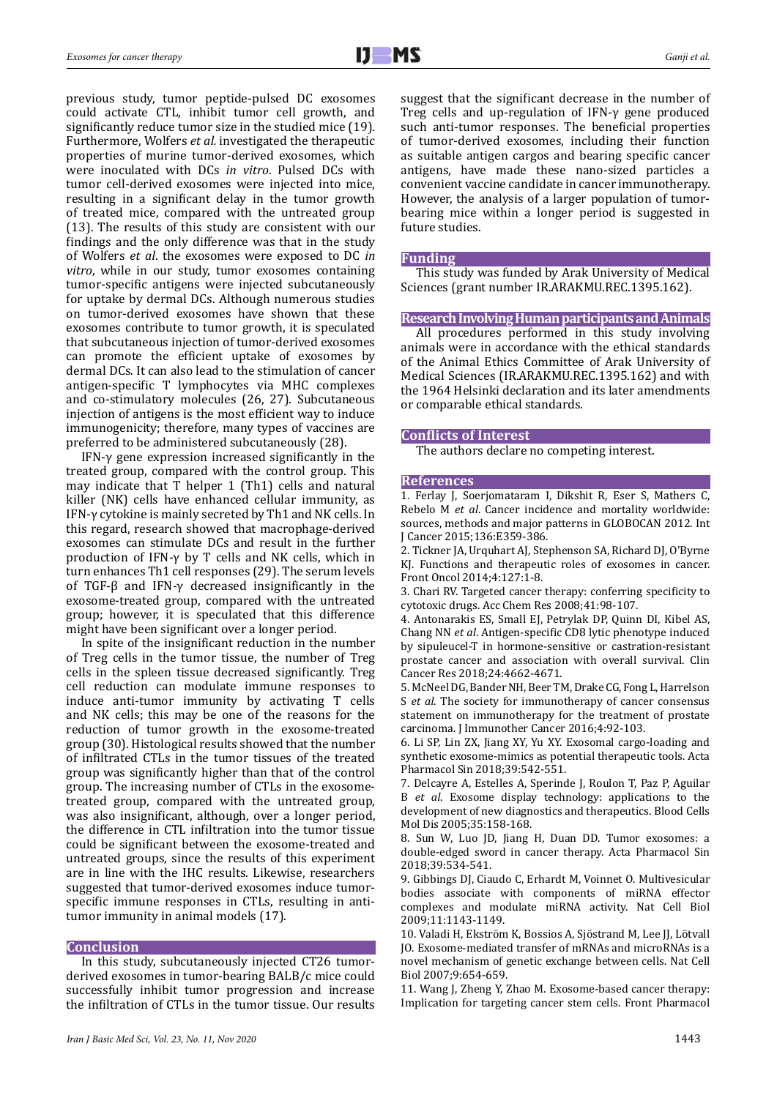previous study, tumor peptide-pulsed DC exosomes could activate CTL, inhibit tumor cell growth, and significantly reduce tumor size in the studied mice (19). Furthermore, Wolfers *et al.* investigated the therapeutic properties of murine tumor-derived exosomes, which were inoculated with DCs *in vitro*. Pulsed DCs with tumor cell-derived exosomes were injected into mice, resulting in a significant delay in the tumor growth of treated mice, compared with the untreated group (13). The results of this study are consistent with our findings and the only difference was that in the study of Wolfers *et al*. the exosomes were exposed to DC *in vitro*, while in our study, tumor exosomes containing tumor-specific antigens were injected subcutaneously for uptake by dermal DCs. Although numerous studies on tumor-derived exosomes have shown that these exosomes contribute to tumor growth, it is speculated that subcutaneous injection of tumor-derived exosomes can promote the efficient uptake of exosomes by dermal DCs. It can also lead to the stimulation of cancer antigen-specific T lymphocytes via MHC complexes and co-stimulatory molecules (26, 27). Subcutaneous injection of antigens is the most efficient way to induce immunogenicity; therefore, many types of vaccines are preferred to be administered subcutaneously (28).

IFN-γ gene expression increased significantly in the treated group, compared with the control group. This may indicate that T helper 1 (Th1) cells and natural killer (NK) cells have enhanced cellular immunity, as IFN-γ cytokine is mainly secreted by Th1 and NK cells. In this regard, research showed that macrophage-derived exosomes can stimulate DCs and result in the further production of IFN-γ by T cells and NK cells, which in turn enhances Th1 cell responses (29). The serum levels of TGF-β and IFN-γ decreased insignificantly in the exosome-treated group, compared with the untreated group; however, it is speculated that this difference might have been significant over a longer period.

In spite of the insignificant reduction in the number of Treg cells in the tumor tissue, the number of Treg cells in the spleen tissue decreased significantly. Treg cell reduction can modulate immune responses to induce anti-tumor immunity by activating T cells and NK cells; this may be one of the reasons for the reduction of tumor growth in the exosome-treated group (30). Histological results showed that the number of infiltrated CTLs in the tumor tissues of the treated group was significantly higher than that of the control group. The increasing number of CTLs in the exosometreated group, compared with the untreated group, was also insignificant, although, over a longer period, the difference in CTL infiltration into the tumor tissue could be significant between the exosome-treated and untreated groups, since the results of this experiment are in line with the IHC results. Likewise, researchers suggested that tumor-derived exosomes induce tumorspecific immune responses in CTLs, resulting in antitumor immunity in animal models (17).

### **Conclusion**

In this study, subcutaneously injected CT26 tumorderived exosomes in tumor-bearing BALB/c mice could successfully inhibit tumor progression and increase the infiltration of CTLs in the tumor tissue. Our results suggest that the significant decrease in the number of Treg cells and up-regulation of IFN-γ gene produced such anti-tumor responses. The beneficial properties of tumor-derived exosomes, including their function as suitable antigen cargos and bearing specific cancer antigens, have made these nano-sized particles a convenient vaccine candidate in cancer immunotherapy. However, the analysis of a larger population of tumorbearing mice within a longer period is suggested in future studies.

#### **Funding**

This study was funded by Arak University of Medical Sciences (grant number IR.ARAKMU.REC.1395.162).

#### **Research Involving Human participants and Animals**

All procedures performed in this study involving animals were in accordance with the ethical standards of the Animal Ethics Committee of Arak University of Medical Sciences (IR.ARAKMU.REC.1395.162) and with the 1964 Helsinki declaration and its later amendments or comparable ethical standards.

#### **Conflicts of Interest**

The authors declare no competing interest.

#### **References**

1. Ferlay J, Soerjomataram I, Dikshit R, Eser S, Mathers C, Rebelo M *et al*. Cancer incidence and mortality worldwide: sources, methods and major patterns in GLOBOCAN 2012. Int J Cancer 2015;136:E359-386.

2. Tickner JA, Urquhart AJ, Stephenson SA, Richard DJ, O'Byrne KJ. Functions and therapeutic roles of exosomes in cancer. Front Oncol 2014;4:127:1-8.

3. Chari RV. Targeted cancer therapy: conferring specificity to cytotoxic drugs. Acc Chem Res 2008;41:98-107.

4. Antonarakis ES, Small EJ, Petrylak DP, Quinn DI, Kibel AS, Chang NN *et al*. Antigen-specific CD8 lytic phenotype induced by sipuleucel-T in hormone-sensitive or castration-resistant prostate cancer and association with overall survival. Clin Cancer Res 2018;24:4662-4671.

5. McNeel DG, Bander NH, Beer TM, Drake CG, Fong L, Harrelson S *et al*. The society for immunotherapy of cancer consensus statement on immunotherapy for the treatment of prostate carcinoma. J Immunother Cancer 2016;4:92-103.

6. Li SP, Lin ZX, Jiang XY, Yu XY. Exosomal cargo-loading and synthetic exosome-mimics as potential therapeutic tools. Acta Pharmacol Sin 2018;39:542-551.

7. Delcayre A, Estelles A, Sperinde J, Roulon T, Paz P, Aguilar B *et al*. Exosome display technology: applications to the development of new diagnostics and therapeutics. Blood Cells Mol Dis 2005;35:158-168.

8. Sun W, Luo JD, Jiang H, Duan DD. Tumor exosomes: a double-edged sword in cancer therapy. Acta Pharmacol Sin 2018;39:534-541.

9. Gibbings DJ, Ciaudo C, Erhardt M, Voinnet O. Multivesicular bodies associate with components of miRNA effector complexes and modulate miRNA activity. Nat Cell Biol 2009;11:1143-1149.

10. Valadi H, Ekström K, Bossios A, Sjöstrand M, Lee II, Lötvall JO. Exosome-mediated transfer of mRNAs and microRNAs is a novel mechanism of genetic exchange between cells. Nat Cell Biol 2007;9:654-659.

11. Wang J, Zheng Y, Zhao M. Exosome-based cancer therapy: Implication for targeting cancer stem cells. Front Pharmacol